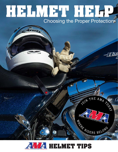# **HELMET HELP** Choosing the Proper Protection



OIN THE AMA 20

**EXAMPLE RS BELONG**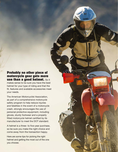#### **Probably no other piece of motorcycle gear gets more use than a good helmet.** So it

makes sense to be sure you have the best helmet for your type of riding and that the fit, features and available accessories meet your needs.

The American Motorcyclist Association, as part of a comprehensive motorcycle safety program to help reduce injuries and fatalities in the event of a motorcycle crash, strongly encourages the use of personal protective equipment, including gloves, sturdy footwear and a properly fitted motorcycle helmet certified by its manufacturer to meet the DOT standard.

A helmet is a three- to five-year purchase, so be sure you make the right choice and come away from the transaction happy.

Here are some tips for picking the right helmet and getting the most out of the one you choose.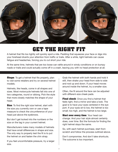

#### **GET THE RIGHT FIT**

A helmet that fits too tightly will quickly spoil a ride. Padding that squeezes your face or digs into your forehead diverts your attention from traffic or trails. After a while, tight helmets can cause fatigue and headaches, forcing you to cut short your ride.

At the same time, helmets that are too loose can rattle around in windy conditions or on bumpy roads or trails and could actually come off in a crash, leaving you with no head protection at all.

**Shape:** To get a helmet that fits properly, plan to visit some retailers and try on several helmet models.

Helmets, like heads, come in all shapes and sizes. Most motorcycle helmets fall into one of two categories, round or oblong. Pick the style that more closely matches the shape of your head.

**Size:** To find the right size helmet, start with the size you currently own or use a tape measure to check the circumference of your head just above the eyebrows.

But don't get locked into the numbers or the size on the tag in your current helmet.

Manufacturers make many models of helmets that have small differences in shape and size. The only way to properly test the fit is to put the helmet on and fasten the chin strap.

If you feel uncomfortable pressure, try a larger size.

Grab the helmet with both hands and hold it still, then shake your head from side to side and nod up and down. If your head moves around inside the helmet, try a smaller size.

Often, the fit around the face can be adjusted with different-size cheek pads.

**Final check:** Once you find a helmet that feels right, find a mirror and take a look. The goal is to have your eyes centered in the eye port. If your eyes sit to low, the helmet is too small; too high, and the helmet is too large.

**Start over every time: Your head can** change. And your hair style almost certainly does, over time. But the formula for finding the right helmet stays the same.

So, with each helmet purchase, start from scratch and follow the process outlined above.

Don't compromise. And don't take shortcuts. The outcome is too important.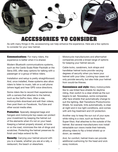

#### **ACCESSORIES TO CONSIDER**

As with many things in life, accessorizing can help enhance the experience. Here are a few options to consider for your new helmet.

**Communications**: For many riders, the experience is better when it is shared.

Modern Bluetooth communications systems, such as the Cardo Scala Rider Packtalk or the Sena 20S, offer easy options for talking with a passenger or a group of fellow riders.

Installation and setup is pretty straightforward. And, once installed, these systems also allow riders to listen to music, talk on a cell phone (where legal) and hear GPS voice directions.

Some riders like to record their experiences with a camera that attaches to the helmet, such as the GoPro Hero. After a ride, motorcyclists download and edit their videos, then post them on Facebook, YouTube and other social media sites.

**Protection:** Specially designed bags and hangars and motorcycle top cases can protect your investment by keeping the helmet out of the elements when it's not on your head. Keeping a helmet properly stowed, at home or on the road, minimizes the risk of dings and scratches. Protecting the helmet preserves its finish and helps extend its life.

**Security**: Carrying your helmet around with you is a hassle, whether you are at a rally, a restaurant, the beach or elsewhere.

Motorcycle manufacturers and aftermarket companies provide a broad range of options for keeping your helmet secure.

Cable locks, carabiners, lock straps and handlebar helmet locks provide varying degrees of security when you leave your helmet with your bike. Locking top cases not only provide security, but also hide your helmet from would-be thieves.

**Convenience and style: Many motorcyclists** like to use tinted face shields for daytime riding, then switch to a clear shield as the sun begins to set. Nowadays, some companies offer face shields that automatically change to suit the lighting. Bell Transitions Photochromic Shield, for example, tints automatically, is clear at night and in low light conditions, and comes with anti-fog treatment and UV protection.

Another way to keep the sun out of your eyes while riding is a visor, such as those from Super-Visor, that attaches to the outside of the helmet. But several manufacturers now install retractable sun visors inside their helmets, allowing riders to flip a tinted shield up or down, as needed.

And, for comfort, helmet liners can provide additional cushioning for the head and wick away moisture.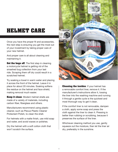## **HELMET CARE**

Once you have the proper fit and accessories, the next step is ensuring you get the most out of your investment by taking proper care of your new helmet.

And proper care is all about cleaning and maintaining it.

**Get the bugs off:** The first step in cleaning a motorcycle helmet is getting rid of the smashed bug collection from your last ride. Scraping them off dry could result in a scratched helmet.

Try soaking a towel in warm water and placing it across the front of the helmet. Leave it in place for about 20 minutes. Soaking softens the residue on the helmet and face shield, making removal much easier.

**Keep it clean**: Modern helmet shells are made of a variety of materials, including carbon fiber, fiberglass and others.

Manufacturers recommend using plastic cleaner, such as Plexus Plastic Cleaner Protectant Polish, to clean the shell.

For helmets with a matte finish, use mild soap and water, and avoid waxes or polishes.

Dry the helmet with a soft cotton cloth that won't scratch the surface.



**Cleaning the insides**: If your helmet has a removable comfort liner, remove it. If the manufacturer's instructions allow it, tossing the liner into the washing machine and running it through a gentle cycle is the quickest and most thorough way to get it clean.

If the comfort liner is not removable, dampen a cloth, apply some soap and press the cloth against the liner to clean it. Pressing is better than rubbing or scrubbing, because it preserves the surface of the liner.

Whichever cleaning method you use, gently squeeze out the moisture, then let the liner air dry, preferably in the sunshine.